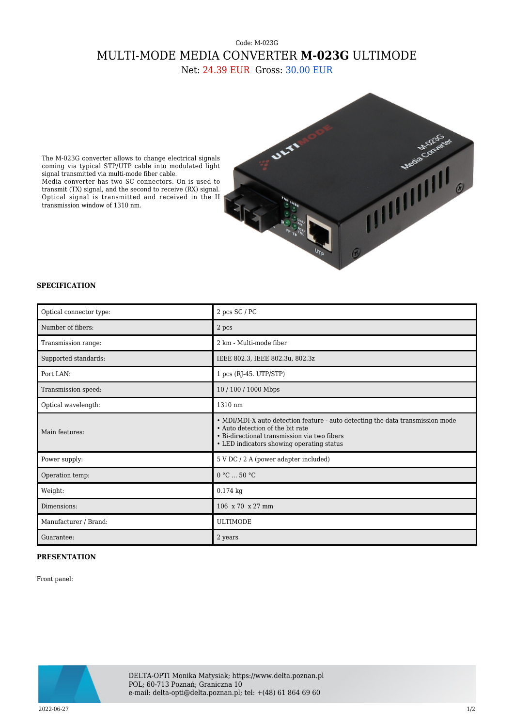## Code: M-023G MULTI-MODE MEDIA CONVERTER **M-023G** ULTIMODE

Net: 24.39 EUR Gross: 30.00 EUR



The M-023G converter allows to change electrical signals coming via typical STP/UTP cable into modulated light signal transmitted via multi-mode fiber cable. Media converter has two SC connectors. On is used to transmit (TX) signal, and the second to receive (RX) signal. Optical signal is transmitted and received in the II transmission window of 1310 nm.

## **SPECIFICATION**

| Optical connector type: | 2 pcs SC / PC                                                                                                                                                                                                   |
|-------------------------|-----------------------------------------------------------------------------------------------------------------------------------------------------------------------------------------------------------------|
| Number of fibers:       | 2 pcs                                                                                                                                                                                                           |
| Transmission range:     | 2 km - Multi-mode fiber                                                                                                                                                                                         |
| Supported standards:    | IEEE 802.3, IEEE 802.3u, 802.3z                                                                                                                                                                                 |
| Port LAN:               | $1$ pcs (RJ-45. UTP/STP)                                                                                                                                                                                        |
| Transmission speed:     | 10/100/1000 Mbps                                                                                                                                                                                                |
| Optical wavelength:     | 1310 nm                                                                                                                                                                                                         |
| Main features:          | • MDI/MDI-X auto detection feature - auto detecting the data transmission mode<br>• Auto detection of the bit rate<br>• Bi-directional transmission via two fibers<br>• LED indicators showing operating status |
| Power supply:           | 5 V DC / 2 A (power adapter included)                                                                                                                                                                           |
| Operation temp:         | 0 °C  50 °C                                                                                                                                                                                                     |
| Weight:                 | $0.174$ kg                                                                                                                                                                                                      |
| Dimensions:             | 106 x 70 x 27 mm                                                                                                                                                                                                |
| Manufacturer / Brand:   | <b>ULTIMODE</b>                                                                                                                                                                                                 |
| Guarantee:              | 2 years                                                                                                                                                                                                         |

## **PRESENTATION**

Front panel:



DELTA-OPTI Monika Matysiak; https://www.delta.poznan.pl POL; 60-713 Poznań; Graniczna 10 e-mail: delta-opti@delta.poznan.pl; tel: +(48) 61 864 69 60